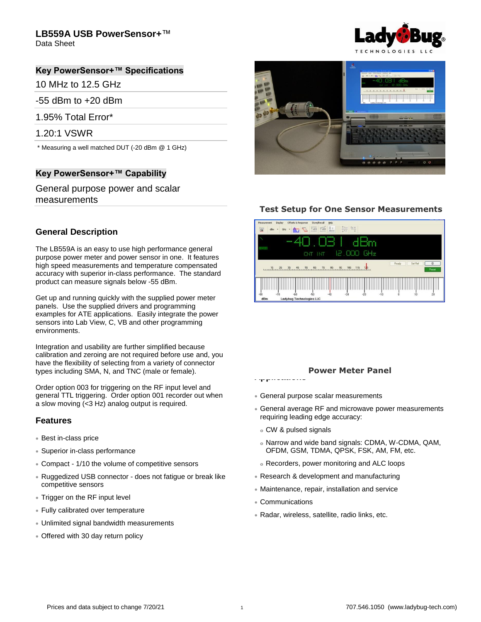## **LB559A USB PowerSensor+**™

Data Sheet

## **Key PowerSensor+™ Specifications**

10 MHz to 12.5 GHz

-55 dBm to +20 dBm

1.95% Total Error\*

1.20:1 VSWR

\* Measuring a well matched DUT (-20 dBm @ 1 GHz)

## **Key PowerSensor+™ Capability**

General purpose power and scalar measurements

## **General Description**

The LB559A is an easy to use high performance general purpose power meter and power sensor in one. It features high speed measurements and temperature compensated accuracy with superior in-class performance. The standard product can measure signals below -55 dBm.

Get up and running quickly with the supplied power meter panels. Use the supplied drivers and programming examples for ATE applications. Easily integrate the power sensors into Lab View, C, VB and other programming environments.

Integration and usability are further simplified because calibration and zeroing are not required before use and, you have the flexibility of selecting from a variety of connector types including SMA, N, and TNC (male or female).

Order option 003 for triggering on the RF input level and general TTL triggering. Order option 001 recorder out when a slow moving (<3 Hz) analog output is required.

#### **Features**

- Best in-class price
- Superior in-class performance
- Compact 1/10 the volume of competitive sensors
- Ruggedized USB connector does not fatigue or break like competitive sensors
- Trigger on the RF input level
- Fully calibrated over temperature
- Unlimited signal bandwidth measurements
- Offered with 30 day return policy





## **Test Setup for One Sensor Measurements**



#### **Power Meter Panel**

- General purpose scalar measurements
- General average RF and microwave power measurements requiring leading edge accuracy:
- <sup>o</sup> CW & pulsed signals

**Applications**

- <sup>o</sup> Narrow and wide band signals: CDMA, W-CDMA, QAM, OFDM, GSM, TDMA, QPSK, FSK, AM, FM, etc.
- <sup>o</sup> Recorders, power monitoring and ALC loops
- Research & development and manufacturing
- Maintenance, repair, installation and service
- Communications
- Radar, wireless, satellite, radio links, etc.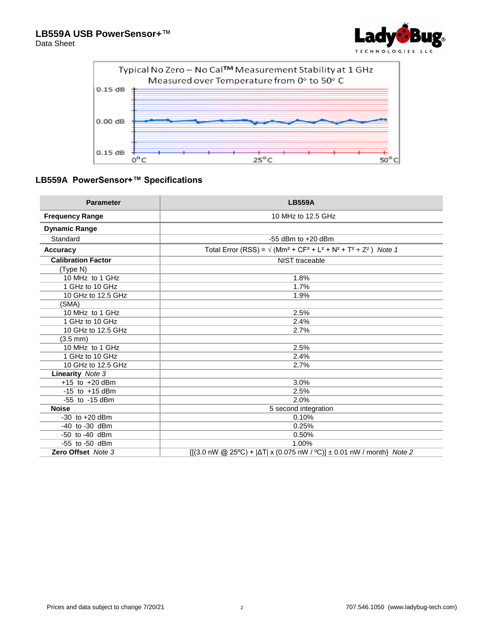

Data Sheet



# **LB559A PowerSensor+™ Specifications**

| <b>Parameter</b>          | <b>LB559A</b>                                                                                                                                        |
|---------------------------|------------------------------------------------------------------------------------------------------------------------------------------------------|
| <b>Frequency Range</b>    | 10 MHz to 12.5 GHz                                                                                                                                   |
| <b>Dynamic Range</b>      |                                                                                                                                                      |
| Standard                  | $-55$ dBm to $+20$ dBm                                                                                                                               |
| <b>Accuracy</b>           | Total Error (RSS) = $\sqrt{(Mm^2 + CF^2 + L^2 + N^2 + T^2 + Z^2)}$ Note 1                                                                            |
| <b>Calibration Factor</b> | NIST traceable                                                                                                                                       |
| (Type N)                  |                                                                                                                                                      |
| 10 MHz to 1 GHz           | 1.8%                                                                                                                                                 |
| 1 GHz to 10 GHz           | 1.7%                                                                                                                                                 |
| 10 GHz to 12.5 GHz        | 1.9%                                                                                                                                                 |
| (SMA)                     |                                                                                                                                                      |
| 10 MHz to 1 GHz           | 2.5%                                                                                                                                                 |
| 1 GHz to 10 GHz           | 2.4%                                                                                                                                                 |
| 10 GHz to 12.5 GHz        | 2.7%                                                                                                                                                 |
| (3.5 mm)                  |                                                                                                                                                      |
| 10 MHz to 1 GHz           | 2.5%                                                                                                                                                 |
| 1 GHz to 10 GHz           | 2.4%                                                                                                                                                 |
| 10 GHz to 12.5 GHz        | 2.7%                                                                                                                                                 |
| <b>Linearity</b> Note 3   |                                                                                                                                                      |
| $+15$ to $+20$ dBm        | 3.0%                                                                                                                                                 |
| $-15$ to $+15$ dBm        | 2.5%                                                                                                                                                 |
| -55 to -15 dBm            | 2.0%                                                                                                                                                 |
| <b>Noise</b>              | 5 second integration                                                                                                                                 |
| $-30$ to $+20$ dBm        | 0.10%                                                                                                                                                |
| $-40$ to $-30$ dBm        | 0.25%                                                                                                                                                |
| -50 to -40 dBm            | 0.50%                                                                                                                                                |
| $-55$ to $-50$ dBm        | 1.00%                                                                                                                                                |
| Zero Offset Note 3        | $\{[(3.0 \text{ nW} \text{ @ } 25^{\circ}\text{C}) +  \Delta T  \times (0.075 \text{ nW} / \text{ °C})] \pm 0.01 \text{ nW} / \text{month}\}$ Note 2 |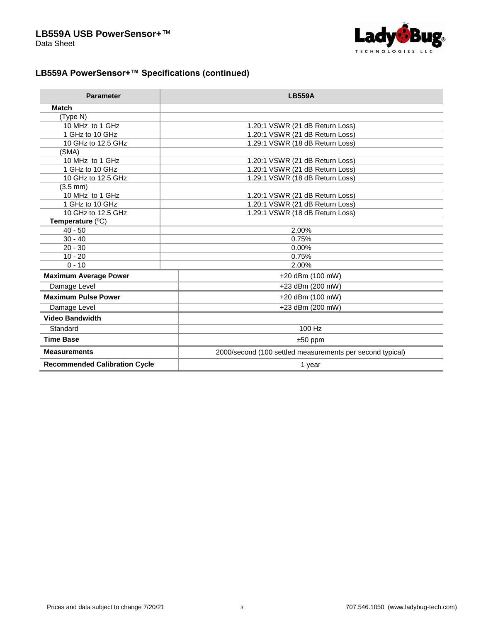

# **LB559A PowerSensor+™ Specifications (continued)**

| <b>Parameter</b>                     | <b>LB559A</b>                                             |
|--------------------------------------|-----------------------------------------------------------|
| <b>Match</b>                         |                                                           |
| (Type N)                             |                                                           |
| 10 MHz to 1 GHz                      | 1.20:1 VSWR (21 dB Return Loss)                           |
| 1 GHz to 10 GHz                      | 1.20:1 VSWR (21 dB Return Loss)                           |
| 10 GHz to 12.5 GHz                   | 1.29:1 VSWR (18 dB Return Loss)                           |
| (SMA)                                |                                                           |
| 10 MHz to 1 GHz                      | 1.20:1 VSWR (21 dB Return Loss)                           |
| 1 GHz to 10 GHz                      | 1.20:1 VSWR (21 dB Return Loss)                           |
| 10 GHz to 12.5 GHz                   | 1.29:1 VSWR (18 dB Return Loss)                           |
| $(3.5 \, \text{mm})$                 |                                                           |
| 10 MHz to 1 GHz                      | 1.20:1 VSWR (21 dB Return Loss)                           |
| 1 GHz to 10 GHz                      | 1.20:1 VSWR (21 dB Return Loss)                           |
| 10 GHz to 12.5 GHz                   | 1.29:1 VSWR (18 dB Return Loss)                           |
| Temperature (°C)                     |                                                           |
| $40 - 50$                            | 2.00%                                                     |
| $30 - 40$                            | 0.75%                                                     |
| $20 - 30$                            | 0.00%                                                     |
| $10 - 20$                            | 0.75%                                                     |
| $0 - 10$                             | 2.00%                                                     |
| <b>Maximum Average Power</b>         | +20 dBm (100 mW)                                          |
| Damage Level                         | +23 dBm (200 mW)                                          |
| <b>Maximum Pulse Power</b>           | +20 dBm (100 mW)                                          |
| Damage Level                         | +23 dBm (200 mW)                                          |
| <b>Video Bandwidth</b>               |                                                           |
| Standard                             | 100 Hz                                                    |
| <b>Time Base</b>                     | $±50$ ppm                                                 |
| <b>Measurements</b>                  | 2000/second (100 settled measurements per second typical) |
| <b>Recommended Calibration Cycle</b> | 1 year                                                    |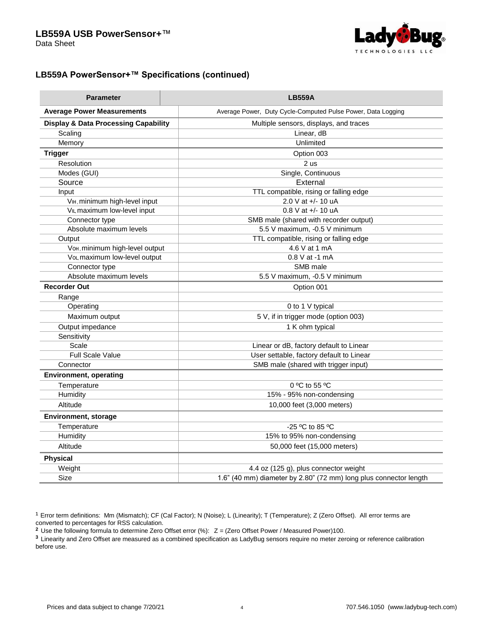

# **LB559A PowerSensor+™ Specifications (continued)**

| <b>Parameter</b>                                | <b>LB559A</b>                                                     |
|-------------------------------------------------|-------------------------------------------------------------------|
| <b>Average Power Measurements</b>               | Average Power, Duty Cycle-Computed Pulse Power, Data Logging      |
| <b>Display &amp; Data Processing Capability</b> | Multiple sensors, displays, and traces                            |
| Scaling                                         | Linear, dB                                                        |
| Memory                                          | Unlimited                                                         |
| <b>Trigger</b>                                  | Option 003                                                        |
| Resolution                                      | 2 us                                                              |
| Modes (GUI)                                     | Single, Continuous                                                |
| Source                                          | External                                                          |
| Input                                           | TTL compatible, rising or falling edge                            |
| V <sub>IH</sub> , minimum high-level input      | 2.0 V at +/- 10 uA                                                |
| V <sub>IL</sub> , maximum low-level input       | $0.8$ V at $+/- 10$ uA                                            |
| Connector type                                  | SMB male (shared with recorder output)                            |
| Absolute maximum levels                         | 5.5 V maximum, -0.5 V minimum                                     |
| Output                                          | TTL compatible, rising or falling edge                            |
| Voн, minimum high-level output                  | 4.6 V at 1 mA                                                     |
| Vol, maximum low-level output                   | 0.8 V at -1 mA                                                    |
| Connector type                                  | SMB male                                                          |
| Absolute maximum levels                         | 5.5 V maximum, -0.5 V minimum                                     |
| <b>Recorder Out</b>                             | Option 001                                                        |
| Range                                           |                                                                   |
| Operating                                       | 0 to 1 V typical                                                  |
| Maximum output                                  | 5 V, if in trigger mode (option 003)                              |
| Output impedance                                | 1 K ohm typical                                                   |
| Sensitivity                                     |                                                                   |
| Scale                                           | Linear or dB, factory default to Linear                           |
| <b>Full Scale Value</b>                         | User settable, factory default to Linear                          |
| Connector                                       | SMB male (shared with trigger input)                              |
| <b>Environment, operating</b>                   |                                                                   |
| Temperature                                     | $0^{\circ}$ C to 55 $^{\circ}$ C                                  |
| Humidity                                        | 15% - 95% non-condensing                                          |
| Altitude                                        | 10,000 feet (3,000 meters)                                        |
| <b>Environment, storage</b>                     |                                                                   |
| Temperature                                     | $-25$ °C to 85 °C                                                 |
| Humidity                                        | 15% to 95% non-condensing                                         |
| Altitude                                        | 50,000 feet (15,000 meters)                                       |
| <b>Physical</b>                                 |                                                                   |
| Weight                                          | 4.4 oz (125 g), plus connector weight                             |
| Size                                            | 1.6" (40 mm) diameter by 2.80" (72 mm) long plus connector length |

<sup>1</sup> Error term definitions: Mm (Mismatch); CF (Cal Factor); N (Noise); L (Linearity); T (Temperature); Z (Zero Offset). All error terms are converted to percentages for RSS calculation.

**<sup>2</sup>** Use the following formula to determine Zero Offset error (%): Z = (Zero Offset Power / Measured Power)100.

**<sup>3</sup>**Linearity and Zero Offset are measured as a combined specification as LadyBug sensors require no meter zeroing or reference calibration before use.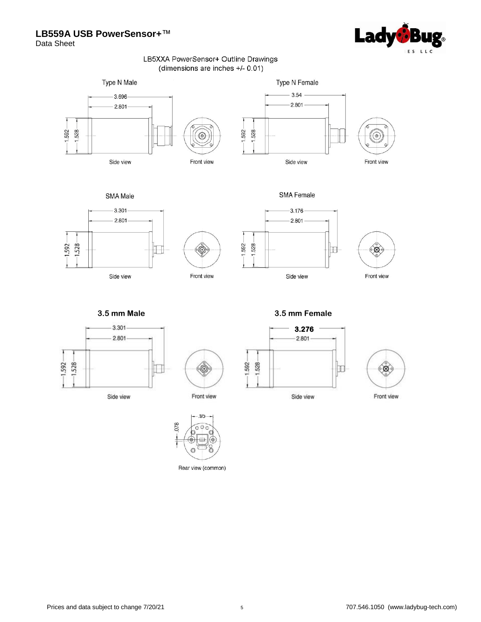## **LB559A USB PowerSensor+**™



Data Sheet

#### LB5XXA PowerSensor+ Outline Drawings (dimensions are inches +/- 0.01)











 $^{\circledR}$ Front view

 $-1.592 -$ 





<u>and a community</u> **3.5 mm Male 3.5 mm Female**



Side view







 $\circledcirc$ Front view

.95  $078$  $\circ$ Ō  $\circ$  $\rightleftharpoons$ ©

Rear view (common)